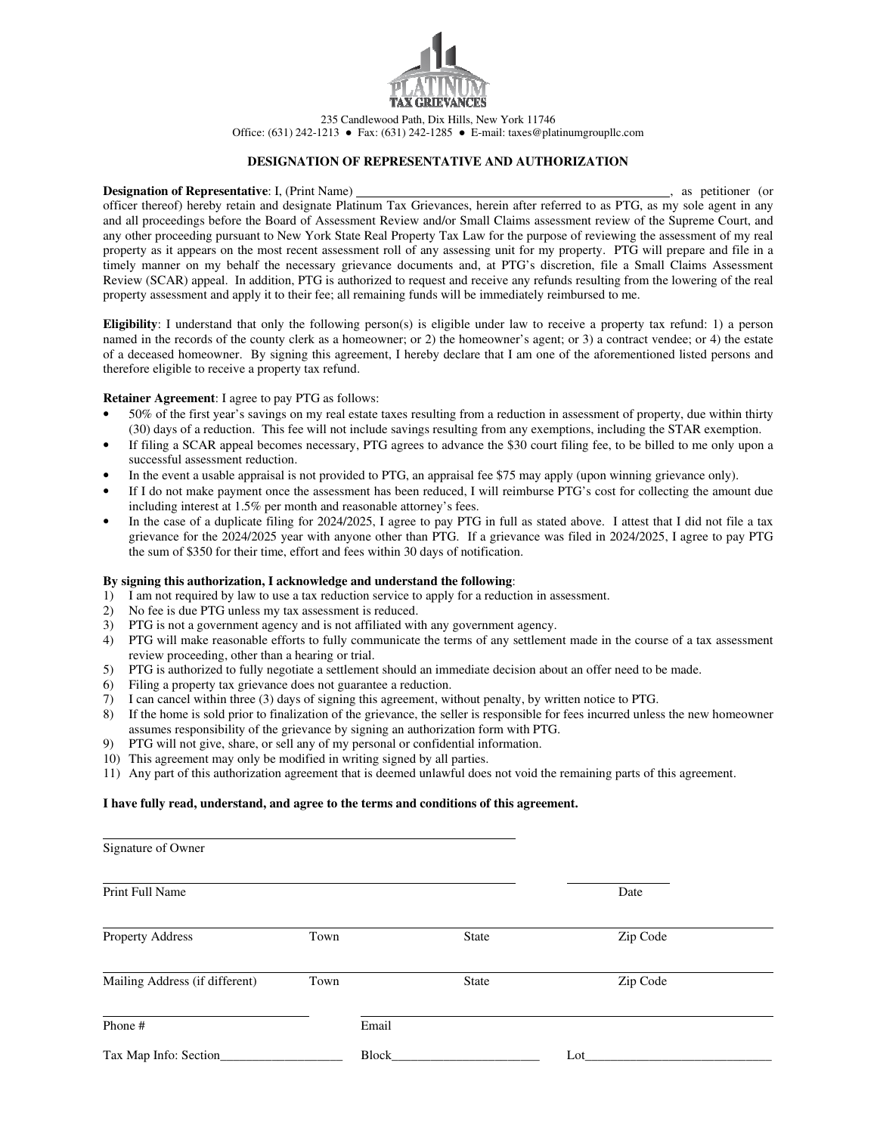

235 Candlewood Path, Dix Hills, New York 11746 Office: (631) 242-1213 ● Fax: (631) 242-1285 ● E-mail: taxes@platinumgroupllc.com

## **DESIGNATION OF REPRESENTATIVE AND AUTHORIZATION**

#### **Designation of Representative**: I, (Print Name) , as petitioner (or

officer thereof) hereby retain and designate Platinum Tax Grievances, herein after referred to as PTG, as my sole agent in any and all proceedings before the Board of Assessment Review and/or Small Claims assessment review of the Supreme Court, and any other proceeding pursuant to New York State Real Property Tax Law for the purpose of reviewing the assessment of my real property as it appears on the most recent assessment roll of any assessing unit for my property. PTG will prepare and file in a timely manner on my behalf the necessary grievance documents and, at PTG's discretion, file a Small Claims Assessment Review (SCAR) appeal. In addition, PTG is authorized to request and receive any refunds resulting from the lowering of the real property assessment and apply it to their fee; all remaining funds will be immediately reimbursed to me.

**Eligibility**: I understand that only the following person(s) is eligible under law to receive a property tax refund: 1) a person named in the records of the county clerk as a homeowner; or 2) the homeowner's agent; or 3) a contract vendee; or 4) the estate of a deceased homeowner. By signing this agreement, I hereby declare that I am one of the aforementioned listed persons and therefore eligible to receive a property tax refund.

#### **Retainer Agreement**: I agree to pay PTG as follows:

- 50% of the first year's savings on my real estate taxes resulting from a reduction in assessment of property, due within thirty (30) days of a reduction. This fee will not include savings resulting from any exemptions, including the STAR exemption.
- If filing a SCAR appeal becomes necessary, PTG agrees to advance the \$30 court filing fee, to be billed to me only upon a successful assessment reduction.
- In the event a usable appraisal is not provided to PTG, an appraisal fee \$75 may apply (upon winning grievance only).
- If I do not make payment once the assessment has been reduced, I will reimburse PTG's cost for collecting the amount due including interest at 1.5% per month and reasonable attorney's fees.
- In the case of a duplicate filing for 2024/2025, I agree to pay PTG in full as stated above. I attest that I did not file a tax grievance for the 2024/2025 year with anyone other than PTG. If a grievance was filed in 2024/2025, I agree to pay PTG the sum of \$350 for their time, effort and fees within 30 days of notification.

### **By signing this authorization, I acknowledge and understand the following**:

- 1) I am not required by law to use a tax reduction service to apply for a reduction in assessment.
- 2) No fee is due PTG unless my tax assessment is reduced.
- 3) PTG is not a government agency and is not affiliated with any government agency.
- 4) PTG will make reasonable efforts to fully communicate the terms of any settlement made in the course of a tax assessment review proceeding, other than a hearing or trial.
- 5) PTG is authorized to fully negotiate a settlement should an immediate decision about an offer need to be made.
- 6) Filing a property tax grievance does not guarantee a reduction.
- 7) I can cancel within three (3) days of signing this agreement, without penalty, by written notice to PTG.
- 8) If the home is sold prior to finalization of the grievance, the seller is responsible for fees incurred unless the new homeowner assumes responsibility of the grievance by signing an authorization form with PTG.
- 9) PTG will not give, share, or sell any of my personal or confidential information.
- 10) This agreement may only be modified in writing signed by all parties.
- 11) Any part of this authorization agreement that is deemed unlawful does not void the remaining parts of this agreement.

## **I have fully read, understand, and agree to the terms and conditions of this agreement.**

| Signature of Owner             |      |              |          |  |
|--------------------------------|------|--------------|----------|--|
| Print Full Name                |      |              | Date     |  |
| Property Address               | Town | <b>State</b> | Zip Code |  |
| Mailing Address (if different) | Town | <b>State</b> | Zip Code |  |
| Phone #                        |      | Email        |          |  |
| Tax Map Info: Section_         |      | Block        | Lot      |  |